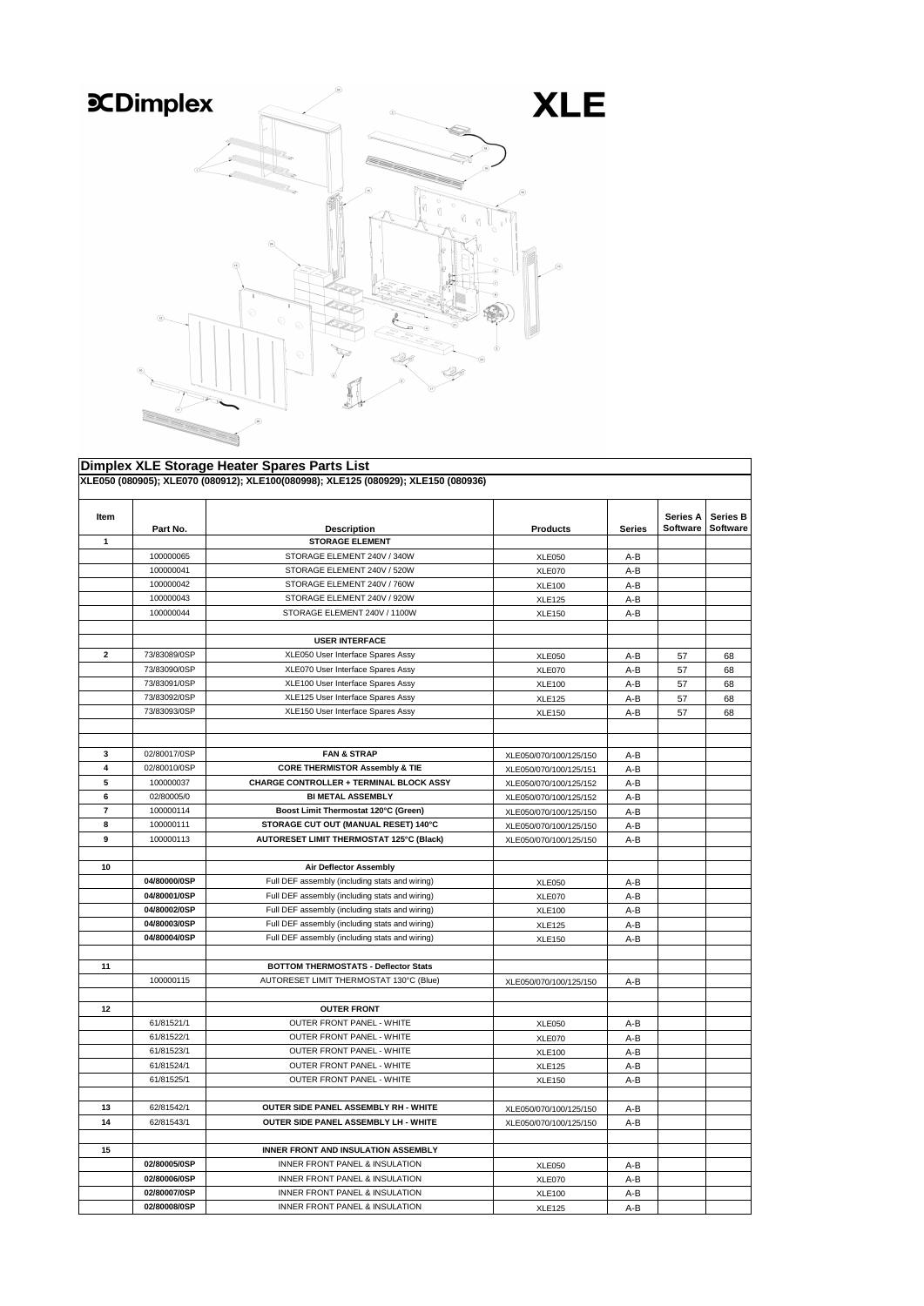|                |              | <b>Dimplex XLE Storage Heater Spares Parts List</b>                                |                        |               |                 |                 |
|----------------|--------------|------------------------------------------------------------------------------------|------------------------|---------------|-----------------|-----------------|
|                |              | XLE050 (080905); XLE070 (080912); XLE100(080998); XLE125 (080929); XLE150 (080936) |                        |               |                 |                 |
|                |              |                                                                                    |                        |               |                 |                 |
| Item           |              |                                                                                    |                        |               | <b>Series A</b> | <b>Series B</b> |
|                | Part No.     | <b>Description</b>                                                                 | <b>Products</b>        | <b>Series</b> | Software        | <b>Software</b> |
| $\mathbf 1$    |              | <b>STORAGE ELEMENT</b>                                                             |                        |               |                 |                 |
|                | 100000065    | STORAGE ELEMENT 240V / 340W                                                        | <b>XLE050</b>          | $A-B$         |                 |                 |
|                | 100000041    | STORAGE ELEMENT 240V / 520W                                                        | <b>XLE070</b>          | $A-B$         |                 |                 |
|                | 100000042    | STORAGE ELEMENT 240V / 760W                                                        | <b>XLE100</b>          | $A-B$         |                 |                 |
|                | 100000043    | STORAGE ELEMENT 240V / 920W                                                        | <b>XLE125</b>          | $A-B$         |                 |                 |
|                | 100000044    | STORAGE ELEMENT 240V / 1100W                                                       | <b>XLE150</b>          | $A-B$         |                 |                 |
|                |              |                                                                                    |                        |               |                 |                 |
|                |              | <b>USER INTERFACE</b>                                                              |                        |               |                 |                 |
| $\mathbf{2}$   | 73/83089/0SP | XLE050 User Interface Spares Assy                                                  | <b>XLE050</b>          | $A-B$         | 57              | 68              |
|                | 73/83090/0SP | XLE070 User Interface Spares Assy                                                  | <b>XLE070</b>          | $A-B$         | 57              | 68              |
|                | 73/83091/0SP | XLE100 User Interface Spares Assy                                                  | <b>XLE100</b>          | $A-B$         | 57              | 68              |
|                | 73/83092/0SP | XLE125 User Interface Spares Assy                                                  | <b>XLE125</b>          | $A-B$         | 57              | 68              |
|                | 73/83093/0SP | XLE150 User Interface Spares Assy                                                  | <b>XLE150</b>          | $A-B$         | 57              | 68              |
|                |              |                                                                                    |                        |               |                 |                 |
|                |              |                                                                                    |                        |               |                 |                 |
| $3\phantom{a}$ | 02/80017/0SP | <b>FAN &amp; STRAP</b>                                                             | XLE050/070/100/125/150 | $A-B$         |                 |                 |
| 4              | 02/80010/0SP | <b>CORE THERMISTOR Assembly &amp; TIE</b>                                          | XLE050/070/100/125/151 | $A-B$         |                 |                 |
| 5              | 100000037    | <b>CHARGE CONTROLLER + TERMINAL BLOCK ASSY</b>                                     | XLE050/070/100/125/152 | $A-B$         |                 |                 |
| 6              | 02/80005/0   | <b>BI METAL ASSEMBLY</b>                                                           | XLE050/070/100/125/152 | $A-B$         |                 |                 |
| $\overline{7}$ | 100000114    | Boost Limit Thermostat 120°C (Green)                                               | XLE050/070/100/125/150 | $A-B$         |                 |                 |
| 8              | 100000111    | STORAGE CUT OUT (MANUAL RESET) 140°C                                               | XLE050/070/100/125/150 | A-B           |                 |                 |
| 9              | 100000113    | <b>AUTORESET LIMIT THERMOSTAT 125°C (Black)</b>                                    | XLE050/070/100/125/150 | $A-B$         |                 |                 |
|                |              |                                                                                    |                        |               |                 |                 |
| 10             |              | <b>Air Deflector Assembly</b>                                                      |                        |               |                 |                 |
|                | 04/80000/0SP | Full DEF assembly (including stats and wiring)                                     | <b>XLE050</b>          | $A-B$         |                 |                 |
|                | 04/80001/0SP | Full DEF assembly (including stats and wiring)                                     | <b>XLE070</b>          | $A-B$         |                 |                 |
|                | 04/80002/0SP | Full DEF assembly (including stats and wiring)                                     | <b>XLE100</b>          | $A-B$         |                 |                 |
|                | 04/80003/0SP | Full DEF assembly (including stats and wiring)                                     | <b>XLE125</b>          | $A-B$         |                 |                 |
|                | 04/80004/0SP | Full DEF assembly (including stats and wiring)                                     | <b>XLE150</b>          | $A-B$         |                 |                 |
|                |              |                                                                                    |                        |               |                 |                 |
| 11             |              | <b>BOTTOM THERMOSTATS - Deflector Stats</b>                                        |                        |               |                 |                 |
|                | 100000115    | AUTORESET LIMIT THERMOSTAT 130°C (Blue)                                            | XLE050/070/100/125/150 | $A-B$         |                 |                 |
|                |              |                                                                                    |                        |               |                 |                 |
| 12             |              | <b>OUTER FRONT</b>                                                                 |                        |               |                 |                 |
|                | 61/81521/1   | <b>OUTER FRONT PANEL - WHITE</b>                                                   | <b>XLE050</b>          | $A-B$         |                 |                 |
|                | 61/81522/1   | <b>OUTER FRONT PANEL - WHITE</b>                                                   | <b>XLE070</b>          | $A-B$         |                 |                 |
|                | 61/81523/1   | <b>OUTER FRONT PANEL - WHITE</b>                                                   | <b>XLE100</b>          | $A-B$         |                 |                 |
|                | 61/81524/1   | <b>OUTER FRONT PANEL - WHITE</b>                                                   | <b>XLE125</b>          | $A-B$         |                 |                 |
|                | 61/81525/1   | <b>OUTER FRONT PANEL - WHITE</b>                                                   | <b>XLE150</b>          | $A-B$         |                 |                 |
|                |              |                                                                                    |                        |               |                 |                 |
| 13             | 62/81542/1   | <b>OUTER SIDE PANEL ASSEMBLY RH - WHITE</b>                                        | XLE050/070/100/125/150 | $A-B$         |                 |                 |
| 14             | 62/81543/1   | <b>OUTER SIDE PANEL ASSEMBLY LH - WHITE</b>                                        | XLE050/070/100/125/150 | $A-B$         |                 |                 |
|                |              |                                                                                    |                        |               |                 |                 |
| 15             |              | <b>INNER FRONT AND INSULATION ASSEMBLY</b>                                         |                        |               |                 |                 |
|                | 02/80005/0SP | <b>INNER FRONT PANEL &amp; INSULATION</b>                                          | <b>XLE050</b>          | $A-B$         |                 |                 |
|                | 02/80006/0SP | <b>INNER FRONT PANEL &amp; INSULATION</b>                                          | <b>XLE070</b>          | $A-B$         |                 |                 |
|                | 02/80007/0SP | INNER FRONT PANEL & INSULATION                                                     | <b>XLE100</b>          | $A-B$         |                 |                 |
|                | 02/80008/0SP | <b>INNER FRONT PANEL &amp; INSULATION</b>                                          | <b>XLE125</b>          | $A-B$         |                 |                 |